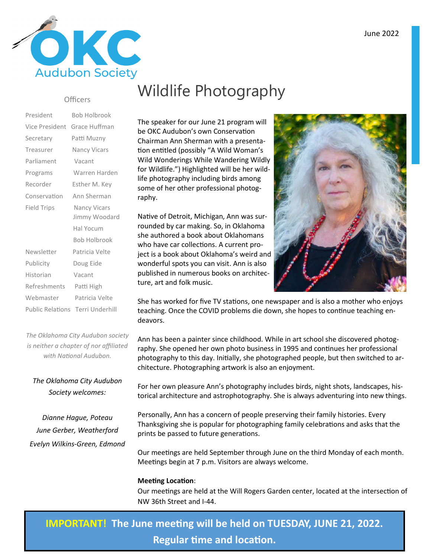

# Wildlife Photography

#### **Officers**

| Grace Huffman<br>Patti Muzny            |
|-----------------------------------------|
|                                         |
|                                         |
| <b>Nancy Vicars</b>                     |
| Vacant                                  |
| Warren Harden                           |
| Esther M. Key                           |
| Ann Sherman                             |
| <b>Nancy Vicars</b><br>Jimmy Woodard    |
| Hal Yocum                               |
| <b>Bob Holbrook</b>                     |
| Patricia Velte                          |
| Doug Eide                               |
| Vacant                                  |
| Patti High                              |
| Patricia Velte                          |
| <b>Public Relations Terri Underhill</b> |
|                                         |

The speaker for our June 21 program will be OKC Audubon's own Conservation Chairman Ann Sherman with a presenta tion entitled (possibly "A Wild Woman's Wild Wonderings While Wandering Wildly for Wildlife.") Highlighted will be her wildlife photography including birds among some of her other professional photography.

Native of Detroit, Michigan, Ann was surrounded by car making. So, in Oklahoma she authored a book about Oklahomans who have car collections. A current project is a book about Oklahoma's weird and wonderful spots you can visit. Ann is also published in numerous books on architecture, art and folk music.



She has worked for five TV stations, one newspaper and is also a mother who enjoys teaching. Once the COVID problems die down, she hopes to continue teaching endeavors.

*The Oklahoma City Audubon society is neither a chapter of nor affiliated*  with National Audubon.

*The Oklahoma City Audubon Society welcomes:* 

*Dianne Hague, Poteau June Gerber, Weatherford Evelyn Wilkins-Green, Edmond*  Ann has been a painter since childhood. While in art school she discovered photography. She opened her own photo business in 1995 and continues her professional photography to this day. Initially, she photographed people, but then switched to architecture. Photographing artwork is also an enjoyment.

For her own pleasure Ann's photography includes birds, night shots, landscapes, historical architecture and astrophotography. She is always adventuring into new things.

Personally, Ann has a concern of people preserving their family histories. Every Thanksgiving she is popular for photographing family celebrations and asks that the prints be passed to future generations.

Our meetings are held September through June on the third Monday of each month. Meetings begin at 7 p.m. Visitors are always welcome.

#### **Meeting Location:**

Our meetings are held at the Will Rogers Garden center, located at the intersection of NW 36th Street and I-44.

### **IMPORTANT! The June meeting will be held on TUESDAY, JUNE 21, 2022. Regular time and location.**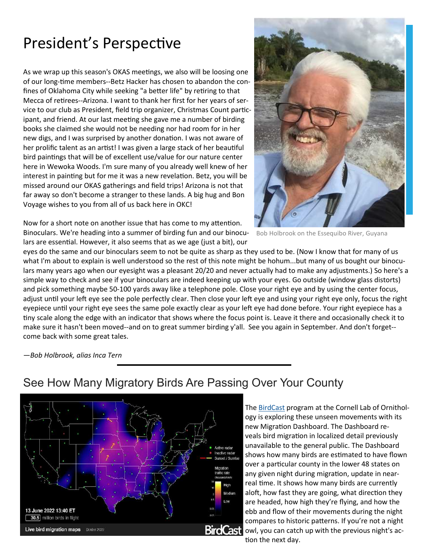# President's Perspective

As we wrap up this season's OKAS meetings, we also will be loosing one of our long-time members--Betz Hacker has chosen to abandon the confines of Oklahoma City while seeking "a better life" by retiring to that Mecca of retirees--Arizona. I want to thank her first for her years of service to our club as President, field trip organizer, Christmas Count participant, and friend. At our last meeting she gave me a number of birding books she claimed she would not be needing nor had room for in her new digs, and I was surprised by another donation. I was not aware of her prolific talent as an artist! I was given a large stack of her beautiful bird paintings that will be of excellent use/value for our nature center here in Wewoka Woods. I'm sure many of you already well knew of her interest in painting but for me it was a new revelation. Betz, you will be missed around our OKAS gatherings and field trips! Arizona is not that far away so don't become a stranger to these lands. A big hug and Bon Voyage wishes to you from all of us back here in OKC!

Now for a short note on another issue that has come to my attention. Binoculars. We're heading into a summer of birding fun and our binoculars are essential. However, it also seems that as we age (just a bit), our



Bob Holbrook on the Essequibo River, Guyana

eyes do the same and our binoculars seem to not be quite as sharp as they used to be. (Now I know that for many of us what I'm about to explain is well understood so the rest of this note might be hohum...but many of us bought our binoculars many years ago when our eyesight was a pleasant 20/20 and never actually had to make any adjustments.) So here's a simple way to check and see if your binoculars are indeed keeping up with your eyes. Go outside (window glass distorts) and pick something maybe 50-100 yards away like a telephone pole. Close your right eye and by using the center focus, adjust until your left eye see the pole perfectly clear. Then close your left eye and using your right eye only, focus the right eyepiece until your right eye sees the same pole exactly clear as your left eye had done before. Your right eyepiece has a tiny scale along the edge with an indicator that shows where the focus point is. Leave it there and occasionally check it to make sure it hasn't been moved--and on to great summer birding y'all. See you again in September. And don't forget- come back with some great tales.

*—Bob Holbrook, alias Inca Tern*



#### See How Many Migratory Birds Are Passing Over Your County

The BirdCast program at the Cornell Lab of Ornithology is exploring these unseen movements with its new Migration Dashboard. The Dashboard reveals bird migration in localized detail previously unavailable to the general public. The Dashboard shows how many birds are estimated to have flown over a particular county in the lower 48 states on any given night during migration, update in nearreal time. It shows how many birds are currently aloft, how fast they are going, what direction they are headed, how high they're flying, and how the ebb and flow of their movements during the night compares to historic patterns. If you're not a night owl, you can catch up with the previous night's ac tion the next day.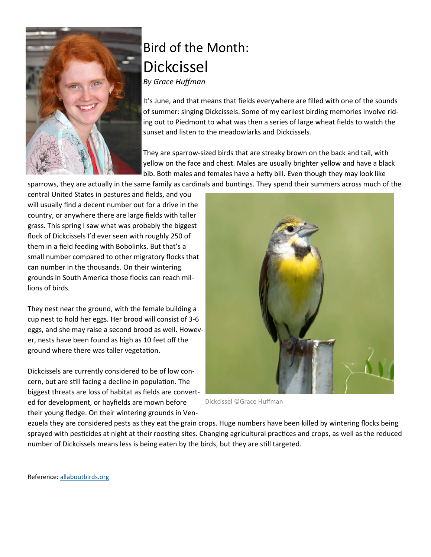

## Bird of the Month: Dickcissel *By Grace Huffman*

It's June, and that means that fields everywhere are filled with one of the sounds of summer: singing Dickcissels. Some of my earliest birding memories involve riding out to Piedmont to what was then a series of large wheat fields to watch the sunset and listen to the meadowlarks and Dickcissels.

They are sparrow-sized birds that are streaky brown on the back and tail, with yellow on the face and chest. Males are usually brighter yellow and have a black bib. Both males and females have a hefty bill. Even though they may look like

sparrows, they are actually in the same family as cardinals and buntings. They spend their summers across much of the

central United States in pastures and fields, and you will usually find a decent number out for a drive in the country, or anywhere there are large fields with taller grass. This spring I saw what was probably the biggest flock of Dickcissels I'd ever seen with roughly 250 of them in a field feeding with Bobolinks. But that's a small number compared to other migratory flocks that can number in the thousands. On their wintering grounds in South America those flocks can reach millions of birds.

They nest near the ground, with the female building a cup nest to hold her eggs. Her brood will consist of 3-6 eggs, and she may raise a second brood as well. However, nests have been found as high as 10 feet off the ground where there was taller vegetation.

Dickcissels are currently considered to be of low concern, but are still facing a decline in population. The biggest threats are loss of habitat as fields are converted for development, or hayfields are mown before their young fledge. On their wintering grounds in Ven-



Dickcissel ©Grace Huffman

ezuela they are considered pests as they eat the grain crops. Huge numbers have been killed by wintering flocks being sprayed with pesticides at night at their roosting sites. Changing agricultural practices and crops, as well as the reduced number of Dickcissels means less is being eaten by the birds, but they are still targeted.

Reference: allaboutbirds.org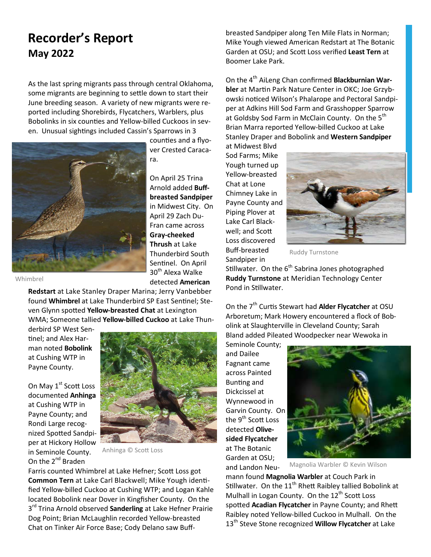### **Recorder's Report May 2022**

As the last spring migrants pass through central Oklahoma, some migrants are beginning to settle down to start their June breeding season. A variety of new migrants were reported including Shorebirds, Flycatchers, Warblers, plus Bobolinks in six counties and Yellow-billed Cuckoos in seven. Unusual sightings included Cassin's Sparrows in 3



counties and a flyover Crested Caracara.

On April 25 Trina Arnold added **Buffbreasted Sandpiper** in Midwest City. On April 29 Zach Du-Fran came across **Gray-cheeked Thrush** at Lake Thunderbird South Sentinel. On April 30<sup>th</sup> Alexa Walke detected **American** 

Whimbrel

**Redstart** at Lake Stanley Draper Marina; Jerry Vanbebber found **Whimbrel** at Lake Thunderbird SP East Sentinel; Steven Glynn spotted Yellow-breasted Chat at Lexington WMA; Someone tallied **Yellow-billed Cuckoo** at Lake Thun-

derbird SP West Sen tinel; and Alex Harman noted **Bobolink**  at Cushing WTP in Payne County.

On May 1<sup>st</sup> Scott Loss documented **Anhinga** at Cushing WTP in Payne County; and Rondi Large recognized Spotted Sandpiper at Hickory Hollow in Seminole County. On the 2<sup>nd</sup> Braden



Anhinga © Scott Loss

Farris counted Whimbrel at Lake Hefner; Scott Loss got **Common Tern** at Lake Carl Blackwell; Mike Yough identified Yellow-billed Cuckoo at Cushing WTP; and Logan Kahle located Bobolink near Dover in Kingfisher County. On the 3 rd Trina Arnold observed **Sanderling** at Lake Hefner Prairie Dog Point; Brian McLaughlin recorded Yellow-breasted Chat on Tinker Air Force Base; Cody Delano saw Buffbreasted Sandpiper along Ten Mile Flats in Norman; Mike Yough viewed American Redstart at The Botanic Garden at OSU; and Scott Loss verified Least Tern at Boomer Lake Park.

On the 4th AiLeng Chan confirmed **Blackburnian Warbler** at Martin Park Nature Center in OKC; Joe Grzybowski noticed Wilson's Phalarope and Pectoral Sandpiper at Adkins Hill Sod Farm and Grasshopper Sparrow at Goldsby Sod Farm in McClain County. On the 5<sup>th</sup> Brian Marra reported Yellow-billed Cuckoo at Lake Stanley Draper and Bobolink and **Western Sandpiper**

at Midwest Blvd Sod Farms; Mike Yough turned up Yellow-breasted Chat at Lone Chimney Lake in Payne County and Piping Plover at Lake Carl Blackwell; and Scott Loss discovered Buff-breasted Sandpiper in



Ruddy Turnstone

Stillwater. On the  $6<sup>th</sup>$  Sabrina Jones photographed **Ruddy Turnstone** at Meridian Technology Center Pond in Stillwater.

On the 7<sup>th</sup> Curtis Stewart had Alder Flycatcher at OSU Arboretum; Mark Howery encountered a flock of Bobolink at Slaughterville in Cleveland County; Sarah Bland added Pileated Woodpecker near Wewoka in

Seminole County; and Dailee Fagnant came across Painted Bunting and Dickcissel at Wynnewood in Garvin County. On the 9<sup>th</sup> Scott Loss detected **Olivesided Flycatcher** at The Botanic Garden at OSU; and Landon Neu-



Magnolia Warbler © Kevin Wilson

mann found **Magnolia Warbler** at Couch Park in Stillwater. On the 11<sup>th</sup> Rhett Raibley tallied Bobolink at Mulhall in Logan County. On the 12<sup>th</sup> Scott Loss spotted Acadian Flycatcher in Payne County; and Rhett Raibley noted Yellow-billed Cuckoo in Mulhall. On the 13th Steve Stone recognized **Willow Flycatcher** at Lake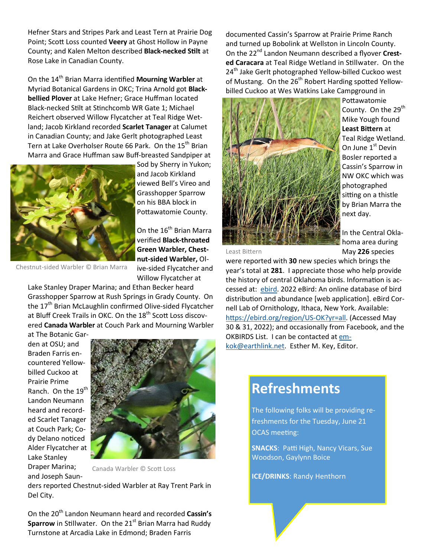Hefner Stars and Stripes Park and Least Tern at Prairie Dog Point; Scott Loss counted Veery at Ghost Hollow in Payne County; and Kalen Melton described **Black-necked Stilt** at Rose Lake in Canadian County.

On the 14<sup>th</sup> Brian Marra identified **Mourning Warbler** at Myriad Botanical Gardens in OKC; Trina Arnold got **Blackbellied Plover** at Lake Hefner; Grace Huffman located Black-necked Stilt at Stinchcomb WR Gate 1: Michael Reichert observed Willow Flycatcher at Teal Ridge Wetland; Jacob Kirkland recorded **Scarlet Tanager** at Calumet in Canadian County; and Jake Gerlt photographed Least Tern at Lake Overholser Route 66 Park. On the 15<sup>th</sup> Brian Marra and Grace Huffman saw Buff-breasted Sandpiper at



Sod by Sherry in Yukon; and Jacob Kirkland viewed Bell's Vireo and Grasshopper Sparrow on his BBA block in Pottawatomie County.

On the 16<sup>th</sup> Brian Marra verified **Black-throated Green Warbler, Chestnut-sided Warbler,** Olive-sided Flycatcher and Willow Flycatcher at

Chestnut-sided Warbler © Brian Marra

Lake Stanley Draper Marina; and Ethan Becker heard Grasshopper Sparrow at Rush Springs in Grady County. On the 17<sup>th</sup> Brian McLaughlin confirmed Olive-sided Flycatcher at Bluff Creek Trails in OKC. On the 18<sup>th</sup> Scott Loss discovered **Canada Warbler** at Couch Park and Mourning Warbler at The Botanic Gar-

den at OSU; and Braden Farris encountered Yellowbilled Cuckoo at Prairie Prime Ranch. On the  $19<sup>th</sup>$ Landon Neumann heard and recorded Scarlet Tanager at Couch Park; Cody Delano noticed Alder Flycatcher at Lake Stanley Draper Marina;

and Joseph Saun-



Canada Warbler © Scott Loss

ders reported Chestnut-sided Warbler at Ray Trent Park in Del City.

On the 20<sup>th</sup> Landon Neumann heard and recorded Cassin's **Sparrow** in Stillwater. On the 21<sup>st</sup> Brian Marra had Ruddy Turnstone at Arcadia Lake in Edmond; Braden Farris

documented Cassin's Sparrow at Prairie Prime Ranch and turned up Bobolink at Wellston in Lincoln County. On the 22<sup>nd</sup> Landon Neumann described a flyover Crested Caracara at Teal Ridge Wetland in Stillwater. On the 24<sup>th</sup> Jake Gerlt photographed Yellow-billed Cuckoo west of Mustang. On the 26<sup>th</sup> Robert Harding spotted Yellowbilled Cuckoo at Wes Watkins Lake Campground in



Pottawatomie County. On the  $29<sup>th</sup>$ Mike Yough found **Least Bittern** at Teal Ridge Wetland. On June 1<sup>st</sup> Devin Bosler reported a Cassin's Sparrow in NW OKC which was photographed sitting on a thistle by Brian Marra the next day.

In the Central Oklahoma area during May **226** species

Least Bittern

were reported with **30** new species which brings the year's total at **281**. I appreciate those who help provide the history of central Oklahoma birds. Information is accessed at: ebird. 2022 eBird: An online database of bird distribution and abundance [web application]. eBird Cornell Lab of Ornithology, Ithaca, New York. Available: https://ebird.org/region/US-OK?yr=all. (Accessed May 30 & 31, 2022); and occasionally from Facebook, and the OKBIRDS List. I can be contacted at emkok@earthlink.net. Esther M. Key, Editor.

### **Refreshments**

The following folks will be providing refreshments for the Tuesday, June 21 **OCAS** meeting:

**SNACKS: Patti High, Nancy Vicars, Sue** Woodson, Gaylynn Boice

**ICE/DRINKS**: Randy Henthorn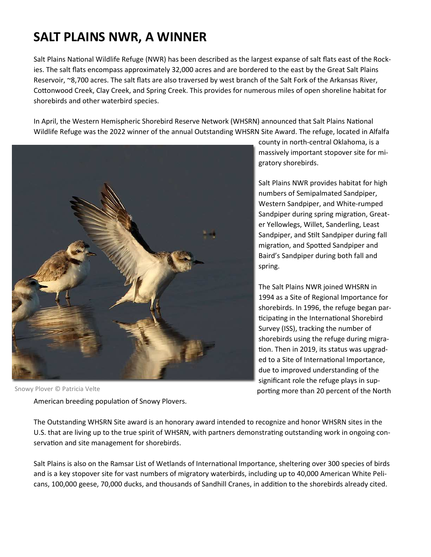## **SALT PLAINS NWR, A WINNER**

Salt Plains National Wildlife Refuge (NWR) has been described as the largest expanse of salt flats east of the Rockies. The salt flats encompass approximately 32,000 acres and are bordered to the east by the Great Salt Plains Reservoir, ~8,700 acres. The salt flats are also traversed by west branch of the Salt Fork of the Arkansas River, Cottonwood Creek, Clay Creek, and Spring Creek. This provides for numerous miles of open shoreline habitat for shorebirds and other waterbird species.

In April, the Western Hemispheric Shorebird Reserve Network (WHSRN) announced that Salt Plains National Wildlife Refuge was the 2022 winner of the annual Outstanding WHSRN Site Award. The refuge, located in Alfalfa



Snowy Plover © Patricia Velte

American breeding population of Snowy Plovers.

county in north-central Oklahoma, is a massively important stopover site for migratory shorebirds.

Salt Plains NWR provides habitat for high numbers of Semipalmated Sandpiper, Western Sandpiper, and White-rumped Sandpiper during spring migration, Greater Yellowlegs, Willet, Sanderling, Least Sandpiper, and Stilt Sandpiper during fall migration, and Spotted Sandpiper and Baird's Sandpiper during both fall and spring.

The Salt Plains NWR joined WHSRN in 1994 as a Site of Regional Importance for shorebirds. In 1996, the refuge began par ticipating in the International Shorebird Survey (ISS), tracking the number of shorebirds using the refuge during migra tion. Then in 2019, its status was upgraded to a Site of International Importance, due to improved understanding of the significant role the refuge plays in supporting more than 20 percent of the North

The Outstanding WHSRN Site award is an honorary award intended to recognize and honor WHSRN sites in the U.S. that are living up to the true spirit of WHSRN, with partners demonstrating outstanding work in ongoing conservation and site management for shorebirds.

Salt Plains is also on the Ramsar List of Wetlands of International Importance, sheltering over 300 species of birds and is a key stopover site for vast numbers of migratory waterbirds, including up to 40,000 American White Pelicans, 100,000 geese, 70,000 ducks, and thousands of Sandhill Cranes, in addition to the shorebirds already cited.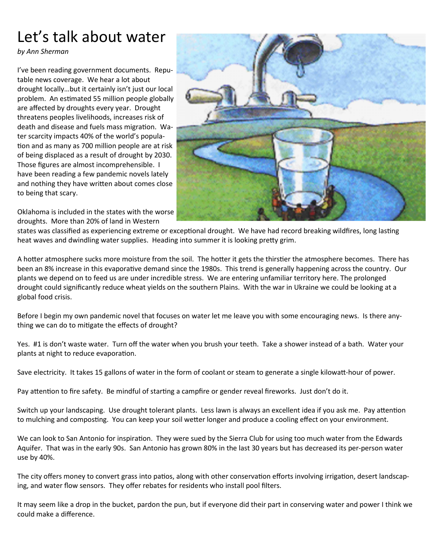# Let's talk about water

*by Ann Sherman*

I've been reading government documents. Reputable news coverage. We hear a lot about drought locally…but it certainly isn't just our local problem. An estimated 55 million people globally are affected by droughts every year. Drought threatens peoples livelihoods, increases risk of death and disease and fuels mass migration. Water scarcity impacts 40% of the world's popula tion and as many as 700 million people are at risk of being displaced as a result of drought by 2030. Those figures are almost incomprehensible. I have been reading a few pandemic novels lately and nothing they have written about comes close to being that scary.

Oklahoma is included in the states with the worse droughts. More than 20% of land in Western



states was classified as experiencing extreme or exceptional drought. We have had record breaking wildfires, long lasting heat waves and dwindling water supplies. Heading into summer it is looking pretty grim.

A hotter atmosphere sucks more moisture from the soil. The hotter it gets the thirstier the atmosphere becomes. There has been an 8% increase in this evaporative demand since the 1980s. This trend is generally happening across the country. Our plants we depend on to feed us are under incredible stress. We are entering unfamiliar territory here. The prolonged drought could significantly reduce wheat yields on the southern Plains. With the war in Ukraine we could be looking at a global food crisis.

Before I begin my own pandemic novel that focuses on water let me leave you with some encouraging news. Is there anything we can do to mitigate the effects of drought?

Yes. #1 is don't waste water. Turn off the water when you brush your teeth. Take a shower instead of a bath. Water your plants at night to reduce evaporation.

Save electricity. It takes 15 gallons of water in the form of coolant or steam to generate a single kilowatt-hour of power.

Pay attention to fire safety. Be mindful of starting a campfire or gender reveal fireworks. Just don't do it.

Switch up your landscaping. Use drought tolerant plants. Less lawn is always an excellent idea if you ask me. Pay attention to mulching and composting. You can keep your soil wetter longer and produce a cooling effect on your environment.

We can look to San Antonio for inspiration. They were sued by the Sierra Club for using too much water from the Edwards Aquifer. That was in the early 90s. San Antonio has grown 80% in the last 30 years but has decreased its per-person water use by 40%.

The city offers money to convert grass into patios, along with other conservation efforts involving irrigation, desert landscaping, and water flow sensors. They offer rebates for residents who install pool filters.

It may seem like a drop in the bucket, pardon the pun, but if everyone did their part in conserving water and power I think we could make a difference.